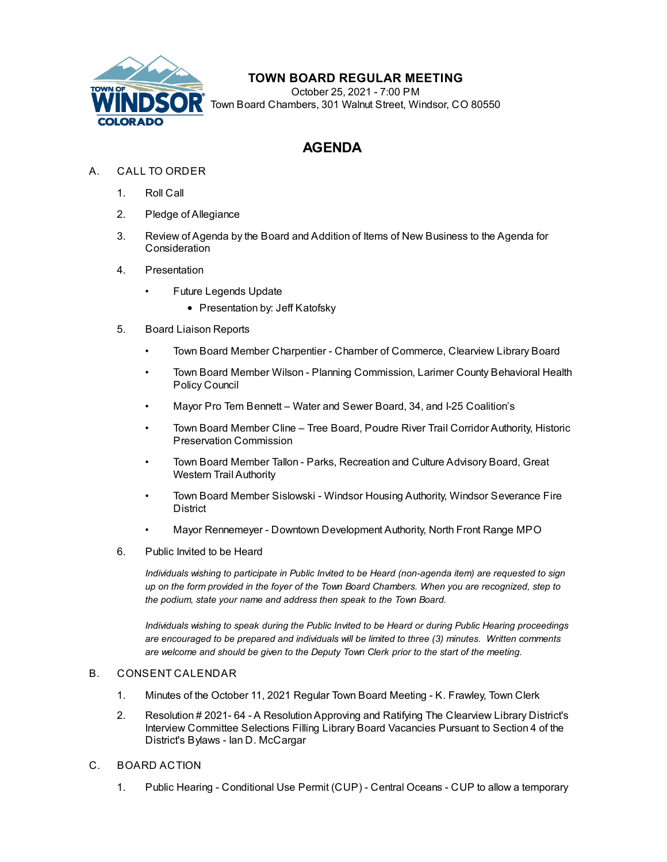

## **TOWN BOARD REGULAR MEETING**

October 25, 2021 - 7:00 PM Town Board Chambers, 301 Walnut Street, Windsor, CO 80550

# **AGENDA**

- A. CALL TO ORDER
	- 1. Roll Call
	- 2. Pledge of Allegiance
	- 3. Review of Agenda by the Board and Addition of Items of New Business to the Agenda for **Consideration**
	- 4. Presentation
		- Future [Legends](file:///C:/Windows/TEMP/CoverSheet.aspx?ItemID=1743&MeetingID=272) Update
			- Presentation by: Jeff Katofsky
	- 5. Board Liaison Reports
		- Town Board Member Charpentier Chamber of Commerce, Clearview Library Board
		- Town Board Member Wilson Planning Commission, Larimer County Behavioral Health Policy Council
		- Mayor Pro Tem Bennett Water and Sewer Board, 34, and I-25 Coalition's
		- Town Board Member Cline Tree Board, Poudre River Trail Corridor Authority, Historic Preservation Commission
		- Town Board Member Tallon Parks, Recreation and Culture Advisory Board, Great Western Trail Authority
		- Town Board Member Sislowski Windsor Housing Authority, Windsor Severance Fire District
		- Mayor Rennemeyer Downtown Development Authority, North Front Range MPO
	- 6. Public Invited to be Heard

*Individuals wishing to participate in Public Invited to be Heard (non-agenda item) are requested to sign* up on the form provided in the foyer of the Town Board Chambers. When you are recognized, step to *the podium, state your name and address then speak to the Town Board.*

*Individuals wishing to speak during the Public Invited to be Heard or during Public Hearing proceedings are encouraged to be prepared and individuals will be limited to three (3) minutes. Written comments are welcome and should be given to the Deputy Town Clerk prior to the start of the meeting.*

### B. CONSENT CALENDAR

- 1. Minutes of the October 11, 2021 Regular Town Board Meeting K. [Frawley,](file:///C:/Windows/TEMP/CoverSheet.aspx?ItemID=1736&MeetingID=272) Town Clerk
- 2. Resolution # 2021- 64 A [ResolutionApproving](file:///C:/Windows/TEMP/CoverSheet.aspx?ItemID=1744&MeetingID=272) and Ratifying The Clearview Library District's Interview Committee Selections Filling Library Board Vacancies Pursuant to Section 4 of the District's Bylaws - Ian D. McCargar
- C. BOARD ACTION
	- 1. Public Hearing Conditional Use Permit (CUP) Central Oceans CUP to allow a temporary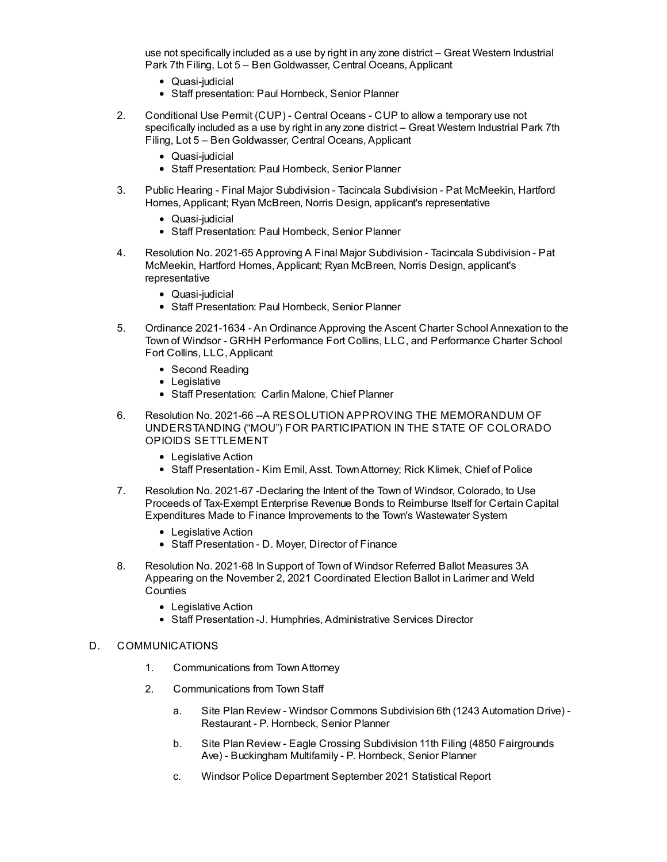use not [specifically](file:///C:/Windows/TEMP/CoverSheet.aspx?ItemID=1730&MeetingID=272) included as a use by right in any zone district – Great Western Industrial Park 7th Filing, Lot 5 – Ben Goldwasser, Central Oceans, Applicant

- Quasi-iudicial
- Staff presentation: Paul Hornbeck, Senior Planner
- 2. [Conditional](file:///C:/Windows/TEMP/CoverSheet.aspx?ItemID=1731&MeetingID=272) Use Permit (CUP) Central Oceans CUP to allow a temporary use not specifically included as a use by right in any zone district – Great Western Industrial Park 7th Filing, Lot 5 – Ben Goldwasser, Central Oceans, Applicant
	- Quasi-judicial
	- Staff Presentation: Paul Hornbeck, Senior Planner
- 3. Public Hearing Final Major [Subdivision](file:///C:/Windows/TEMP/CoverSheet.aspx?ItemID=1732&MeetingID=272) Tacincala Subdivision Pat McMeekin, Hartford Homes, Applicant; Ryan McBreen, Norris Design, applicant's representative
	- Quasi-iudicial
	- Staff Presentation: Paul Hornbeck, Senior Planner
- 4. Resolution No. 2021-65 Approving A Final Major Subdivision Tacincala Subdivision Pat McMeekin, Hartford Homes, Applicant; Ryan McBreen, Norris Design, applicant's [representative](file:///C:/Windows/TEMP/CoverSheet.aspx?ItemID=1733&MeetingID=272)
	- Quasi-judicial
	- Staff Presentation: Paul Hornbeck, Senior Planner
- 5. Ordinance 2021-1634 An Ordinance Approving the Ascent Charter School Annexation to the Town of Windsor - GRHH [Performance](file:///C:/Windows/TEMP/CoverSheet.aspx?ItemID=1671&MeetingID=272) Fort Collins, LLC, and Performance Charter School Fort Collins, LLC, Applicant
	- Second Reading
	- Legislative
	- Staff Presentation: Carlin Malone, Chief Planner
- 6. Resolution No. 2021-66 --A RESOLUTION APPROVING THE MEMORANDUM OF [UNDERSTANDING](file:///C:/Windows/TEMP/CoverSheet.aspx?ItemID=1729&MeetingID=272) ("MOU") FOR PARTICIPATION IN THE STATE OF COLORADO OPIOIDS SETTLEMENT
	- Legislative Action
	- Staff Presentation Kim Emil, Asst. Town Attorney; Rick Klimek, Chief of Police
- 7. Resolution No. 2021-67 -Declaring the Intent of the Town of Windsor, Colorado, to Use Proceeds of Tax-Exempt Enterprise Revenue Bonds to Reimburse Itself for Certain Capital Expenditures Made to Finance [Improvements](file:///C:/Windows/TEMP/CoverSheet.aspx?ItemID=1737&MeetingID=272) to the Town's Wastewater System
	- Legislative Action
	- Staff Presentation D. Moyer, Director of Finance
- 8. Resolution No. 2021-68 In Support of Town of Windsor Referred Ballot Measures 3A Appearing on the November 2, 2021 [Coordinated](file:///C:/Windows/TEMP/CoverSheet.aspx?ItemID=1739&MeetingID=272) Election Ballot in Larimer and Weld **Counties** 
	- Legislative Action
	- Staff Presentation -J. Humphries, Administrative Services Director

#### D. COMMUNICATIONS

- 1. Communications from TownAttorney
- 2. Communications from Town Staff
	- a. Site Plan Review Windsor Commons [Subdivision](file:///C:/Windows/TEMP/CoverSheet.aspx?ItemID=1734&MeetingID=272) 6th (1243 Automation Drive) Restaurant - P. Hornbeck, Senior Planner
	- b. Site Plan Review Eagle Crossing Subdivision 11th Filing (4850 [Fairgrounds](file:///C:/Windows/TEMP/CoverSheet.aspx?ItemID=1735&MeetingID=272) Ave) - Buckingham Multifamily - P. Hornbeck, Senior Planner
	- c. Windsor Police [Department](file:///C:/Windows/TEMP/CoverSheet.aspx?ItemID=1723&MeetingID=272) September 2021 Statistical Report